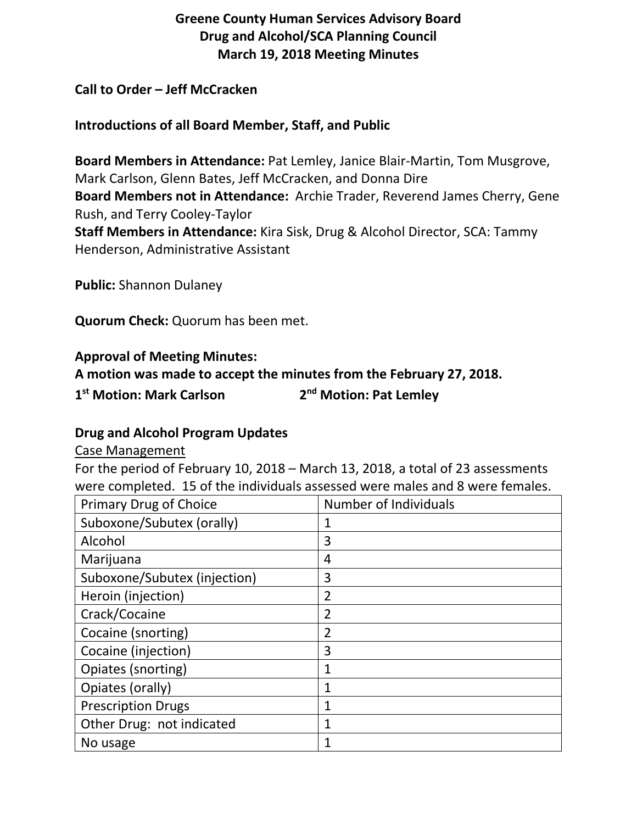# **Greene County Human Services Advisory Board Drug and Alcohol/SCA Planning Council March 19, 2018 Meeting Minutes**

## **Call to Order – Jeff McCracken**

## **Introductions of all Board Member, Staff, and Public**

**Board Members in Attendance:** Pat Lemley, Janice Blair-Martin, Tom Musgrove, Mark Carlson, Glenn Bates, Jeff McCracken, and Donna Dire **Board Members not in Attendance:** Archie Trader, Reverend James Cherry, Gene Rush, and Terry Cooley-Taylor **Staff Members in Attendance:** Kira Sisk, Drug & Alcohol Director, SCA: Tammy Henderson, Administrative Assistant

**Public:** Shannon Dulaney

**Quorum Check:** Quorum has been met.

#### **Approval of Meeting Minutes:**

**A motion was made to accept the minutes from the February 27, 2018.**

**1st Motion: Mark Carlson 2nd Motion: Pat Lemley**

#### **Drug and Alcohol Program Updates**

#### Case Management

For the period of February 10, 2018 – March 13, 2018, a total of 23 assessments were completed. 15 of the individuals assessed were males and 8 were females.

| <b>Primary Drug of Choice</b> | <b>Number of Individuals</b> |
|-------------------------------|------------------------------|
| Suboxone/Subutex (orally)     | 1                            |
| Alcohol                       | 3                            |
| Marijuana                     | 4                            |
| Suboxone/Subutex (injection)  | 3                            |
| Heroin (injection)            | 2                            |
| Crack/Cocaine                 | $\overline{2}$               |
| Cocaine (snorting)            | $\overline{2}$               |
| Cocaine (injection)           | 3                            |
| Opiates (snorting)            | 1                            |
| Opiates (orally)              | $\mathbf{1}$                 |
| <b>Prescription Drugs</b>     | 1                            |
| Other Drug: not indicated     | $\mathbf{1}$                 |
| No usage                      |                              |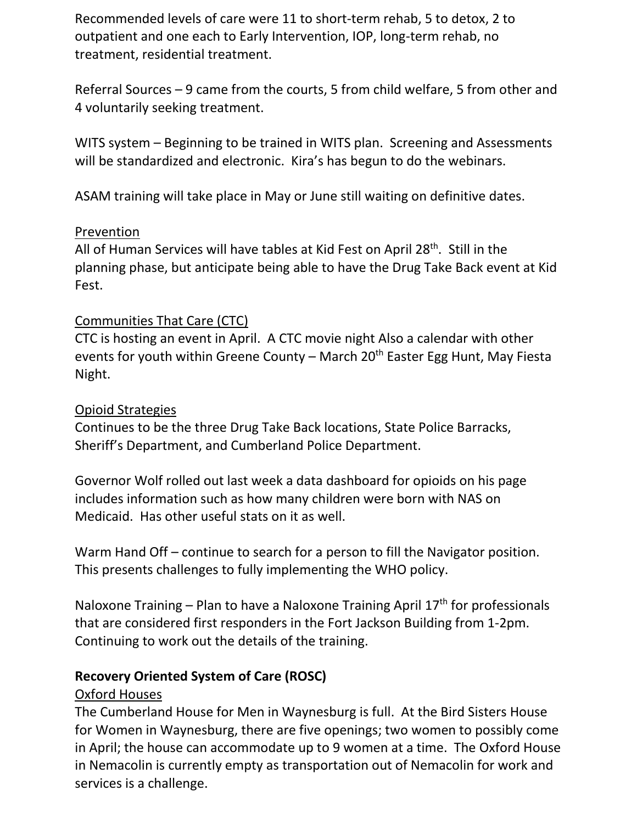Recommended levels of care were 11 to short-term rehab, 5 to detox, 2 to outpatient and one each to Early Intervention, IOP, long-term rehab, no treatment, residential treatment.

Referral Sources – 9 came from the courts, 5 from child welfare, 5 from other and 4 voluntarily seeking treatment.

WITS system – Beginning to be trained in WITS plan. Screening and Assessments will be standardized and electronic. Kira's has begun to do the webinars.

ASAM training will take place in May or June still waiting on definitive dates.

#### Prevention

All of Human Services will have tables at Kid Fest on April 28<sup>th</sup>. Still in the planning phase, but anticipate being able to have the Drug Take Back event at Kid Fest.

## Communities That Care (CTC)

CTC is hosting an event in April. A CTC movie night Also a calendar with other events for youth within Greene County – March  $20<sup>th</sup>$  Easter Egg Hunt, May Fiesta Night.

#### Opioid Strategies

Continues to be the three Drug Take Back locations, State Police Barracks, Sheriff's Department, and Cumberland Police Department.

Governor Wolf rolled out last week a data dashboard for opioids on his page includes information such as how many children were born with NAS on Medicaid. Has other useful stats on it as well.

Warm Hand Off – continue to search for a person to fill the Navigator position. This presents challenges to fully implementing the WHO policy.

Naloxone Training – Plan to have a Naloxone Training April  $17<sup>th</sup>$  for professionals that are considered first responders in the Fort Jackson Building from 1-2pm. Continuing to work out the details of the training.

#### **Recovery Oriented System of Care (ROSC)**

#### Oxford Houses

The Cumberland House for Men in Waynesburg is full. At the Bird Sisters House for Women in Waynesburg, there are five openings; two women to possibly come in April; the house can accommodate up to 9 women at a time. The Oxford House in Nemacolin is currently empty as transportation out of Nemacolin for work and services is a challenge.